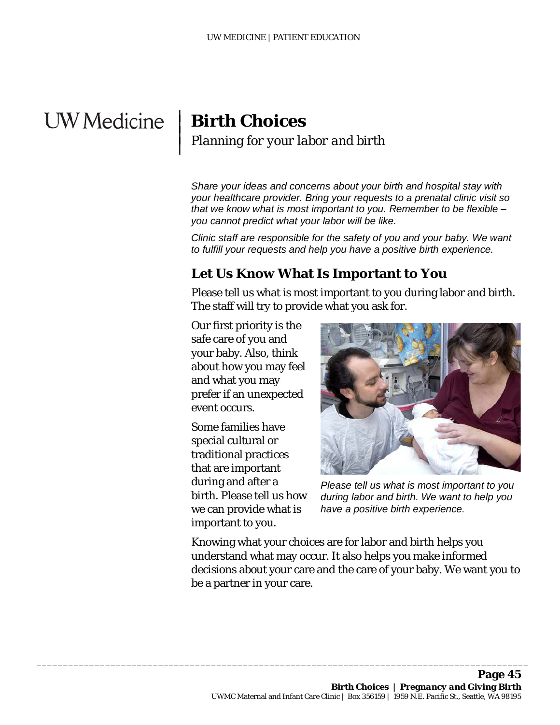# **UW** Medicine

 $\overline{\phantom{a}}$  $\vert$  $\vert$  $\vert$ 

# **Birth Choices** *Planning for your labor and birth*

*Share your ideas and concerns about your birth and hospital stay with your healthcare provider. Bring your requests to a prenatal clinic visit so that we know what is most important to you. Remember to be flexible – you cannot predict what your labor will be like.* 

*Clinic staff are responsible for the safety of you and your baby. We want to fulfill your requests and help you have a positive birth experience.*

### **Let Us Know What Is Important to You**

Please tell us what is most important to you during labor and birth. The staff will try to provide what you ask for.

Our first priority is the safe care of you and your baby. Also, think about how you may feel and what you may prefer if an unexpected event occurs.

Some families have special cultural or traditional practices that are important during and after a birth. Please tell us how we can provide what is important to you.

 $\_$  ,  $\_$  ,  $\_$  ,  $\_$  ,  $\_$  ,  $\_$  ,  $\_$  ,  $\_$  ,  $\_$  ,  $\_$  ,  $\_$  ,  $\_$  ,  $\_$  ,  $\_$  ,  $\_$  ,  $\_$  ,  $\_$  ,  $\_$  ,  $\_$  ,  $\_$  ,  $\_$  ,  $\_$  ,  $\_$  ,  $\_$  ,  $\_$  ,  $\_$  ,  $\_$  ,  $\_$  ,  $\_$  ,  $\_$  ,  $\_$  ,  $\_$  ,  $\_$  ,  $\_$  ,  $\_$  ,  $\_$  ,  $\_$  ,



*Please tell us what is most important to you during labor and birth. We want to help you have a positive birth experience.*

Knowing what your choices are for labor and birth helps you understand what may occur. It also helps you make informed decisions about your care and the care of your baby. We want you to be a partner in your care.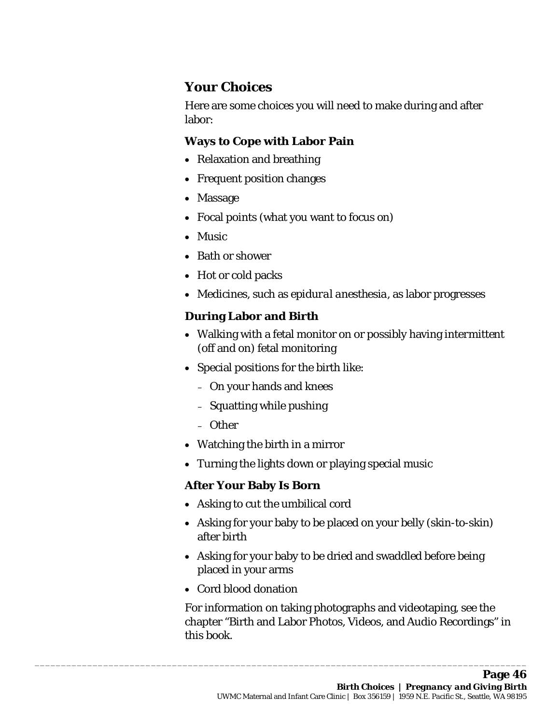## **Your Choices**

Here are some choices you will need to make during and after labor:

#### **Ways to Cope with Labor Pain**

- Relaxation and breathing
- Frequent position changes
- Massage
- Focal points (what you want to focus on)
- Music
- Bath or shower
- Hot or cold packs
- Medicines, such as *epidural anesthesia*, as labor progresses

#### **During Labor and Birth**

- Walking with a fetal monitor on or possibly having *intermittent* (off and on) fetal monitoring
- Special positions for the birth like:
	- On your hands and knees
	- Squatting while pushing
	- Other
- Watching the birth in a mirror
- Turning the lights down or playing special music

#### **After Your Baby Is Born**

• Asking to cut the umbilical cord

 $\_$  ,  $\_$  ,  $\_$  ,  $\_$  ,  $\_$  ,  $\_$  ,  $\_$  ,  $\_$  ,  $\_$  ,  $\_$  ,  $\_$  ,  $\_$  ,  $\_$  ,  $\_$  ,  $\_$  ,  $\_$  ,  $\_$  ,  $\_$  ,  $\_$  ,  $\_$  ,  $\_$  ,  $\_$  ,  $\_$  ,  $\_$  ,  $\_$  ,  $\_$  ,  $\_$  ,  $\_$  ,  $\_$  ,  $\_$  ,  $\_$  ,  $\_$  ,  $\_$  ,  $\_$  ,  $\_$  ,  $\_$  ,  $\_$  ,

- Asking for your baby to be placed on your belly (skin-to-skin) after birth
- Asking for your baby to be dried and swaddled before being placed in your arms
- Cord blood donation

For information on taking photographs and videotaping, see the chapter "Birth and Labor Photos, Videos, and Audio Recordings" in this book.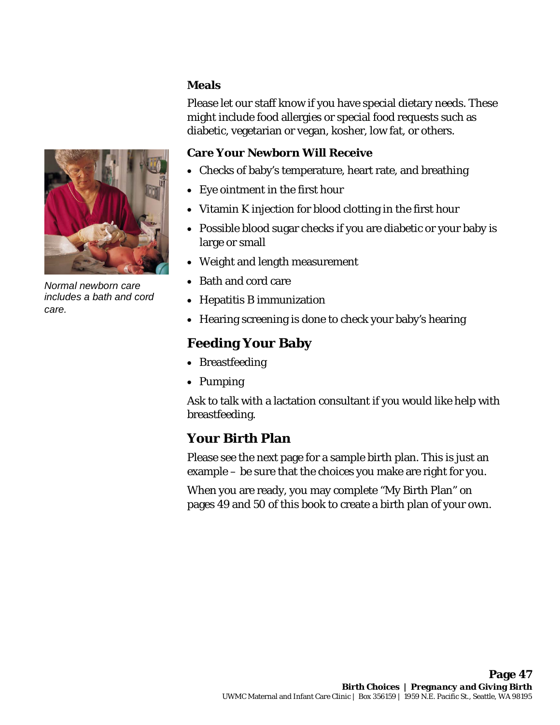#### **Meals**

Please let our staff know if you have special dietary needs. These might include food allergies or special food requests such as diabetic, vegetarian or vegan, kosher, low fat, or others.

#### **Care Your Newborn Will Receive**

- Checks of baby's temperature, heart rate, and breathing
- Eye ointment in the first hour
- Vitamin K injection for blood clotting in the first hour
- Possible blood sugar checks if you are diabetic or your baby is large or small
- Weight and length measurement
- Bath and cord care
- Hepatitis B immunization
- Hearing screening is done to check your baby's hearing

# **Feeding Your Baby**

- Breastfeeding
- Pumping

Ask to talk with a lactation consultant if you would like help with breastfeeding.

# **Your Birth Plan**

 $\_$  ,  $\_$  ,  $\_$  ,  $\_$  ,  $\_$  ,  $\_$  ,  $\_$  ,  $\_$  ,  $\_$  ,  $\_$  ,  $\_$  ,  $\_$  ,  $\_$  ,  $\_$  ,  $\_$  ,  $\_$  ,  $\_$  ,  $\_$  ,  $\_$  ,  $\_$  ,  $\_$  ,  $\_$  ,  $\_$  ,  $\_$  ,  $\_$  ,  $\_$  ,  $\_$  ,  $\_$  ,  $\_$  ,  $\_$  ,  $\_$  ,  $\_$  ,  $\_$  ,  $\_$  ,  $\_$  ,  $\_$  ,  $\_$  ,

Please see the next page for a sample birth plan. This is just an example – be sure that the choices you make are right for you.

When you are ready, you may complete "My Birth Plan" on pages 49 and 50 of this book to create a birth plan of your own.



*Normal newborn care includes a bath and cord care.*